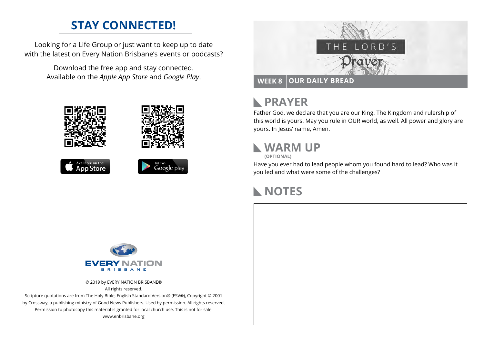## **STAY CONNECTED!**

Looking for a Life Group or just want to keep up to date with the latest on Every Nation Brisbane's events or podcasts?

> Download the free app and stay connected. Available on the *Apple App Store* and *Google Play*.











#### **PRAYER**  $\mathbb{R}$

Father God, we declare that you are our King. The Kingdom and rulership of this world is yours. May you rule in OUR world, as well. All power and glory are yours. In Jesus' name, Amen.

## **WARM UP**

**(OPTIONAL)**

Have you ever had to lead people whom you found hard to lead? Who was it you led and what were some of the challenges?

### **NOTES**



© 2019 by EVERY NATION BRISBANE® All rights reserved.

Scripture quotations are from The Holy Bible, English Standard Version® (ESV®), Copyright © 2001 by Crossway, a publishing ministry of Good News Publishers. Used by permission. All rights reserved. Permission to photocopy this material is granted for local church use. This is not for sale. www.enbrisbane.org